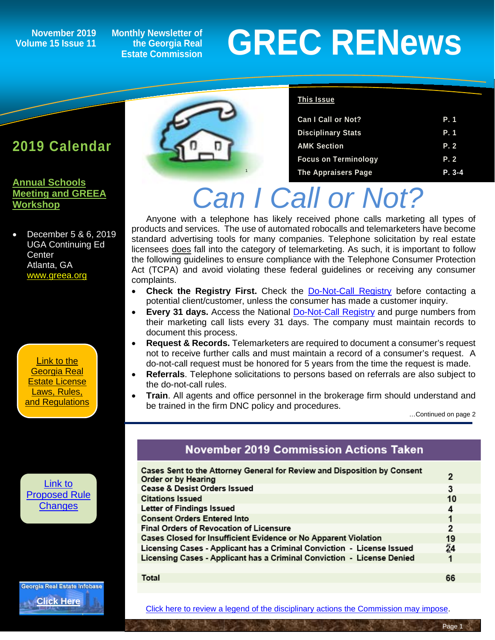### **Volume 15 Issue 11**

**Monthly Newsletter of the Georgia Real Estate Commission**

# November 2019 Monthly Newsletter of<br>
Estate Commission<br>
Estate Commission



#### **This Issue**

| <b>Can I Call or Not?</b>   | P. 1     |
|-----------------------------|----------|
| <b>Disciplinary Stats</b>   | P.1      |
| <b>AMK Section</b>          | P. 2     |
| <b>Focus on Terminology</b> | P. 2     |
| <b>The Appraisers Page</b>  | $P. 3-4$ |

# *Can I Call or Not?*

Anyone with a telephone has likely received phone calls marketing all types of products and services. The use of automated robocalls and telemarketers have become standard advertising tools for many companies. Telephone solicitation by real estate licensees does fall into the category of telemarketing. As such, it is important to follow the following guidelines to ensure compliance with the Telephone Consumer Protection Act (TCPA) and avoid violating these federal guidelines or receiving any consumer complaints.

- **Check the Registry First.** Check the [Do-Not-Call Registry](https://telemarketing.donotcall.gov/) before contacting a potential client/customer, unless the consumer has made a customer inquiry.
- **Every 31 days.** Access the National [Do-Not-Call Registry](http://www.fcc.gov/cgb/donnotcall) and purge numbers from their marketing call lists every 31 days. The company must maintain records to document this process.
- **Request & Records.** Telemarketers are required to document a consumer's request not to receive further calls and must maintain a record of a consumer's request. A do-not-call request must be honored for 5 years from the time the request is made.
- **Referrals**. Telephone solicitations to persons based on referrals are also subject to the do-not-call rules.
- **Train**. All agents and office personnel in the brokerage firm should understand and be trained in the firm DNC policy and procedures.

…Continued on page 2

### November 2019 Commission Actions Taken

| Cases Sent to the Attorney General for Review and Disposition by Consent<br>Order or by Hearing | 2  |
|-------------------------------------------------------------------------------------------------|----|
| <b>Cease &amp; Desist Orders Issued</b>                                                         | 3  |
| <b>Citations Issued</b>                                                                         | 10 |
| Letter of Findings Issued                                                                       | 4  |
| <b>Consent Orders Entered Into</b>                                                              | 1  |
| <b>Final Orders of Revocation of Licensure</b>                                                  | 2  |
| Cases Closed for Insufficient Evidence or No Apparent Violation                                 | 19 |
| Licensing Cases - Applicant has a Criminal Conviction - License Issued                          | 24 |
| Licensing Cases - Applicant has a Criminal Conviction - License Denied                          |    |
|                                                                                                 |    |
| Total                                                                                           | 66 |

66

[Click here to review a legend of the disciplinary actions the Commission may impose.](https://www.jmre.com/grec/GRECDisciplinaryTools.pdf)

**2019 Calendar**

**[Annual Schools](http://www.annualschoolmeeting.com/Future-Meetings)  [Meeting and GREEA](http://www.annualschoolmeeting.com/Future-Meetings)  [Workshop](http://www.annualschoolmeeting.com/Future-Meetings)**

• December 5 & 6, 2019 UGA Continuing Ed **Center** Atlanta, GA [www.greea.org](http://www.annualschoolmeeting.com/Future-Meetings)

[Link to the](http://www.grec.state.ga.us/about/relaw.html)  [Georgia Real](http://www.grec.state.ga.us/about/relaw.html)  [Estate License](http://www.grec.state.ga.us/about/relaw.html)  [Laws, Rules,](http://www.grec.state.ga.us/about/relaw.html)  [and Regulations](http://www.grec.state.ga.us/about/relaw.html)

[Link to](http://www.grec.state.ga.us/about/reproposed.html)  [Proposed Rule](http://www.grec.state.ga.us/about/reproposed.html)  **[Changes](http://www.grec.state.ga.us/about/reproposed.html)** 

Georgia Real Estate Infobase **[Click Here](https://www.grec.state.ga.us/infobase/infobase.html)**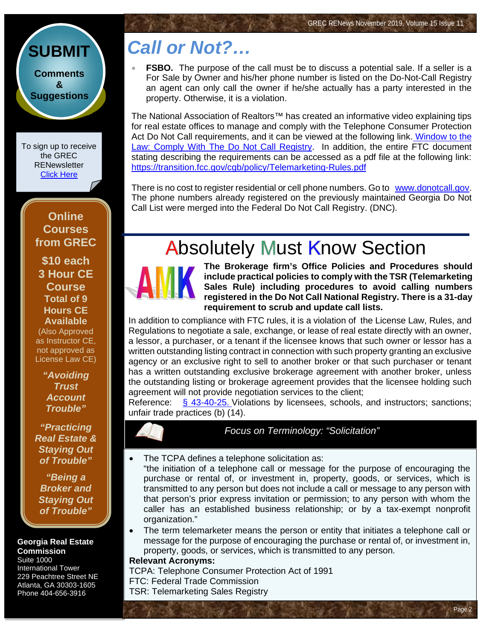### **[SUBMIT](http://www.jmre.com/grecrenewscomments2014.htm) [Comments](http://www.jmre.com/grecrenewscomments2014.htm) [&](http://www.jmre.com/grecrenewscomments2014.htm) [Suggestions](http://www.jmre.com/grecrenewscomments2014.htm)**

To sign up to receive the GREC **RENewsletter** [Click Here](https://www.grec.state.ga.us/about/subscribe.html)

#### **Online Courses from GREC**

**[\\$10 each](http://www.jmre.com/grec) [3 Hour CE](http://www.jmre.com/grec)  [Course](http://www.jmre.com/grec) [Total of 9](http://www.jmre.com/grec)  [Hours CE](http://www.jmre.com/grec)  [Available](http://www.jmre.com/grec)** [\(Also Approved](http://www.jmre.com/grec)  [as Instructor CE,](http://www.jmre.com/grec)  [not approved as](http://www.jmre.com/grec)  [License Law CE\)](http://www.jmre.com/grec)

> *["Avoiding](http://www.jmre.com/grec)  [Trust](http://www.jmre.com/grec)  [Account](http://www.jmre.com/grec)  [Trouble"](http://www.jmre.com/grec)*

*["Practicing](http://www.jmre.com/grec)  [Real Estate &](http://www.jmre.com/grec)  [Staying Out](http://www.jmre.com/grec)  [of Trouble"](http://www.jmre.com/grec)*

*["Being a](http://www.jmre.com/grec)  [Broker and](http://www.jmre.com/grec)  [Staying Out](http://www.jmre.com/grec)  [of Trouble"](http://www.jmre.com/grec)*

#### **Georgia Real Estate Commission** Suite 1000

International Tower 229 Peachtree Street NE Atlanta, GA 30303-1605 Phone 404-656-3916

## *Call or Not?…*

**FSBO.** The purpose of the call must be to discuss a potential sale. If a seller is a For Sale by Owner and his/her phone number is listed on the Do-Not-Call Registry an agent can only call the owner if he/she actually has a party interested in the property. Otherwise, it is a violation.

The National Association of Realtors<sup>™</sup> has created an informative video explaining tips for real estate offices to manage and comply with the Telephone Consumer Protection Act Do Not Call requirements, and it can be viewed at the following link. [Window to the](https://www.nar.realtor/window-to-the-law/comply-with-the-do-not-call-registry)  [Law: Comply With The Do Not Call Registry.](https://www.nar.realtor/window-to-the-law/comply-with-the-do-not-call-registry) In addition, the entire FTC document stating describing the requirements can be accessed as a pdf file at the following link: <https://transition.fcc.gov/cgb/policy/Telemarketing-Rules.pdf>

There is no cost to register residential or cell phone numbers. Go to [www.donotcall.gov.](http://www.donotcall.gov/) The phone numbers already registered on the previously maintained Georgia Do Not Call List were merged into the Federal Do Not Call Registry. (DNC).

## **Absolutely Must Know Section**



**The Brokerage firm's Office Policies and Procedures should include practical policies to comply with the TSR (Telemarketing Sales Rule) including procedures to avoid calling numbers registered in the Do Not Call National Registry. There is a 31-day requirement to scrub and update call lists.**

In addition to compliance with FTC rules, it is a violation of the License Law, Rules, and Regulations to negotiate a sale, exchange, or lease of real estate directly with an owner, a lessor, a purchaser, or a tenant if the licensee knows that such owner or lessor has a written outstanding listing contract in connection with such property granting an exclusive agency or an exclusive right to sell to another broker or that such purchaser or tenant has a written outstanding exclusive brokerage agreement with another broker, unless the outstanding listing or brokerage agreement provides that the licensee holding such agreement will not provide negotiation services to the client;

Reference: [§ 43-40-25.](http://www.grec.state.ga.us/about/relaw.html) Violations by licensees, schools, and instructors; sanctions; unfair trade practices (b) (14).

*Focus on Terminology: "Solicitation"*

- The TCPA defines a telephone solicitation as:
- "the initiation of a telephone call or message for the purpose of encouraging the purchase or rental of, or investment in, property, goods, or services, which is transmitted to any person but does not include a call or message to any person with that person's prior express invitation or permission; to any person with whom the caller has an established business relationship; or by a tax-exempt nonprofit organization."
- The term telemarketer means the person or entity that initiates a telephone call or message for the purpose of encouraging the purchase or rental of, or investment in, property, goods, or services, which is transmitted to any person.

Page 2

#### **Relevant Acronyms:**

TCPA: Telephone Consumer Protection Act of 1991 FTC: Federal Trade Commission TSR: Telemarketing Sales Registry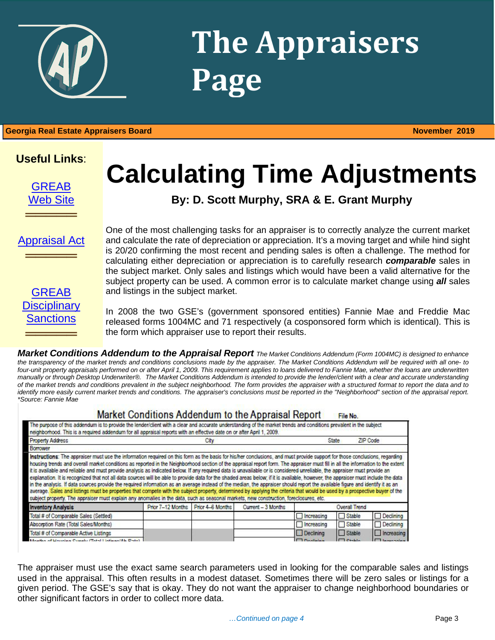# **The Appraisers Page**

### 1 **Georgia Real Estate Appraisers Board November 2019**

### **Useful Links**:

[GREAB](http://www.grec.state.ga.us/about/greab.html) [Web Site](http://www.grec.state.ga.us/about/greab.html)

## **Calculating Time Adjustments**

**By: D. Scott Murphy, SRA & E. Grant Murphy**

[Appraisal Act](http://www.grec.state.ga.us/about/appraisersact.html)

═════════════════<br>══════════════════

═════════════════<br>══════════════════



One of the most challenging tasks for an appraiser is to correctly analyze the current market and calculate the rate of depreciation or appreciation. It's a moving target and while hind sight is 20/20 confirming the most recent and pending sales is often a challenge. The method for calculating either depreciation or appreciation is to carefully research *comparable* sales in the subject market. Only sales and listings which would have been a valid alternative for the subject property can be used. A common error is to calculate market change using *all* sales and listings in the subject market.

In 2008 the two GSE's (government sponsored entities) Fannie Mae and Freddie Mac released forms 1004MC and 71 respectively (a cosponsored form which is identical). This is the form which appraiser use to report their results.

*Market Conditions Addendum to the Appraisal Report The Market Conditions Addendum (Form 1004MC) is designed to enhance the transparency of the market trends and conditions conclusions made by the appraiser. The Market Conditions Addendum will be required with all one- to*  four-unit property appraisals performed on or after April 1, 2009. This requirement applies to loans delivered to Fannie Mae, whether the loans are underwritten *manually or through Desktop Underwriter®. The Market Conditions Addendum is intended to provide the lender/client with a clear and accurate understanding of the market trends and conditions prevalent in the subject neighborhood. The form provides the appraiser with a structured format to report the data and to identify more easily current market trends and conditions. The appraiser's conclusions must be reported in the "Neighborhood" section of the appraisal report. \*Source: Fannie Mae* 

#### Market Conditions Addendum to the Appraisal Report File No.

| The purpose of this addendum is to provide the lender/client with a clear and accurate understanding of the market trends and conditions prevalent in the subject<br>neighborhood. This is a required addendum for all appraisal reports with an effective date on or after April 1, 2009.                                                                                                                                                                                                                                                                                                                                                                                                                                                                                                                                                                                                                                                                                                                                                                                                                                                                                                                                                |                                    |      |                    |                  |                |                      |
|-------------------------------------------------------------------------------------------------------------------------------------------------------------------------------------------------------------------------------------------------------------------------------------------------------------------------------------------------------------------------------------------------------------------------------------------------------------------------------------------------------------------------------------------------------------------------------------------------------------------------------------------------------------------------------------------------------------------------------------------------------------------------------------------------------------------------------------------------------------------------------------------------------------------------------------------------------------------------------------------------------------------------------------------------------------------------------------------------------------------------------------------------------------------------------------------------------------------------------------------|------------------------------------|------|--------------------|------------------|----------------|----------------------|
| <b>Property Address</b>                                                                                                                                                                                                                                                                                                                                                                                                                                                                                                                                                                                                                                                                                                                                                                                                                                                                                                                                                                                                                                                                                                                                                                                                                   |                                    | City |                    |                  | State          | ZIP Code             |
| Borrower                                                                                                                                                                                                                                                                                                                                                                                                                                                                                                                                                                                                                                                                                                                                                                                                                                                                                                                                                                                                                                                                                                                                                                                                                                  |                                    |      |                    |                  |                |                      |
| Instructions: The appraiser must use the information required on this form as the basis for his/her conclusions, and must provide support for those conclusions, regarding<br>housing trends and overall market conditions as reported in the Neighborhood section of the appraisal report form. The appraiser must fill in all the information to the extent<br>it is available and reliable and must provide analysis as indicated below. If any required data is unavailable or is considered unreliable, the appraiser must provide an<br>explanation. It is recognized that not all data sources will be able to provide data for the shaded areas below; if it is available, however, the appraiser must include the data<br>in the analysis. If data sources provide the required information as an average instead of the median, the appraiser should report the available figure and identify it as an<br>average. Sales and listings must be properties that compete with the subject property, determined by applying the criteria that would be used by a prospective buyer of the<br>subject property. The appraiser must explain any anomalies in the data, such as seasonal markets, new construction, foreclosures, etc. |                                    |      |                    |                  |                |                      |
| <b>Inventory Analysis</b>                                                                                                                                                                                                                                                                                                                                                                                                                                                                                                                                                                                                                                                                                                                                                                                                                                                                                                                                                                                                                                                                                                                                                                                                                 | Prior 7-12 Months Prior 4-6 Months |      | Current - 3 Months | Overall Trend    |                |                      |
| Total # of Comparable Sales (Settled)                                                                                                                                                                                                                                                                                                                                                                                                                                                                                                                                                                                                                                                                                                                                                                                                                                                                                                                                                                                                                                                                                                                                                                                                     |                                    |      |                    | Increasing       | Stable         | Declining            |
| Absorption Rate (Total Sales/Months)                                                                                                                                                                                                                                                                                                                                                                                                                                                                                                                                                                                                                                                                                                                                                                                                                                                                                                                                                                                                                                                                                                                                                                                                      |                                    |      |                    | Increasing       | Stable         | Declining            |
| Total # of Comparable Active Listings                                                                                                                                                                                                                                                                                                                                                                                                                                                                                                                                                                                                                                                                                                                                                                                                                                                                                                                                                                                                                                                                                                                                                                                                     |                                    |      |                    | Declining        | $\Box$ Stable  | $\Box$ Increasing    |
| Months of Univirus Capaby (Total Listings (Ab, Date)                                                                                                                                                                                                                                                                                                                                                                                                                                                                                                                                                                                                                                                                                                                                                                                                                                                                                                                                                                                                                                                                                                                                                                                      |                                    |      |                    | $\Box$ Doolinina | $\Box$ Chalalo | <b>I lease sales</b> |

The appraiser must use the exact same search parameters used in looking for the comparable sales and listings used in the appraisal. This often results in a modest dataset. Sometimes there will be zero sales or listings for a given period. The GSE's say that is okay. They do not want the appraiser to change neighborhood boundaries or other significant factors in order to collect more data.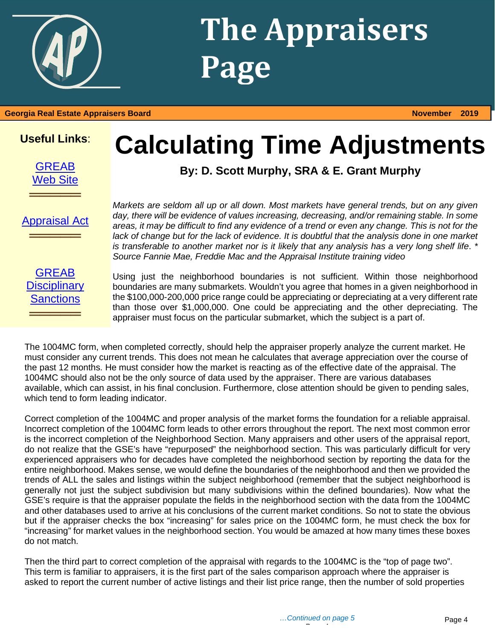

# **The Appraisers Page**

#### **Georgia Real Estate Appraisers Board November 2019**

### **Useful Links**:

**[GREAB](http://www.grec.state.ga.us/about/greab.html)** [Web Site](http://www.grec.state.ga.us/about/greab.html)

## **Calculating Time Adjustments**

**By: D. Scott Murphy, SRA & E. Grant Murphy**

[Appraisal Act](http://www.grec.state.ga.us/about/appraisersact.html) **═════**

**═════**

*Markets are seldom all up or all down. Most markets have general trends, but on any given day, there will be evidence of values increasing, decreasing, and/or remaining stable. In some areas, it may be difficult to find any evidence of a trend or even any change. This is not for the lack of change but for the lack of evidence. It is doubtful that the analysis done in one market is transferable to another market nor is it likely that any analysis has a very long shelf life*. *\* Source Fannie Mae, Freddie Mac and the Appraisal Institute training video*

**GREAB Disciplinary [Sanctions](http://www.grec.state.ga.us/about/apprsanctions.html) ═════**

Using just the neighborhood boundaries is not sufficient. Within those neighborhood boundaries are many submarkets. Wouldn't you agree that homes in a given neighborhood in the \$100,000-200,000 price range could be appreciating or depreciating at a very different rate than those over \$1,000,000. One could be appreciating and the other depreciating. The appraiser must focus on the particular submarket, which the subject is a part of.

The 1004MC form, when completed correctly, should help the appraiser properly analyze the current market. He must consider any current trends. This does not mean he calculates that average appreciation over the course of the past 12 months. He must consider how the market is reacting as of the effective date of the appraisal. The 1004MC should also not be the only source of data used by the appraiser. There are various databases available, which can assist, in his final conclusion. Furthermore, close attention should be given to pending sales, which tend to form leading indicator.

Correct completion of the 1004MC and proper analysis of the market forms the foundation for a reliable appraisal. Incorrect completion of the 1004MC form leads to other errors throughout the report. The next most common error is the incorrect completion of the Neighborhood Section. Many appraisers and other users of the appraisal report, do not realize that the GSE's have "repurposed" the neighborhood section. This was particularly difficult for very experienced appraisers who for decades have completed the neighborhood section by reporting the data for the entire neighborhood. Makes sense, we would define the boundaries of the neighborhood and then we provided the trends of ALL the sales and listings within the subject neighborhood (remember that the subject neighborhood is generally not just the subject subdivision but many subdivisions within the defined boundaries). Now what the GSE's require is that the appraiser populate the fields in the neighborhood section with the data from the 1004MC and other databases used to arrive at his conclusions of the current market conditions. So not to state the obvious but if the appraiser checks the box "increasing" for sales price on the 1004MC form, he must check the box for "increasing" for market values in the neighborhood section. You would be amazed at how many times these boxes do not match.

Then the third part to correct completion of the appraisal with regards to the 1004MC is the "top of page two". This term is familiar to appraisers, it is the first part of the sales comparison approach where the appraiser is asked to report the current number of active listings and their list price range, then the number of sold properties